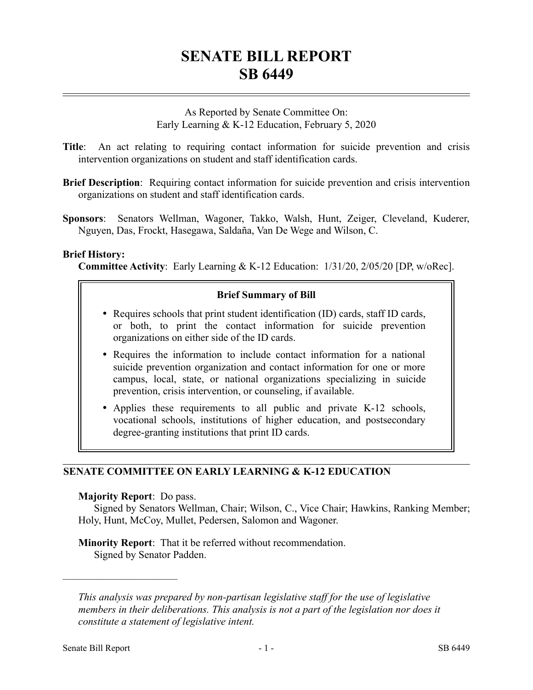# **SENATE BILL REPORT SB 6449**

As Reported by Senate Committee On: Early Learning & K-12 Education, February 5, 2020

- **Title**: An act relating to requiring contact information for suicide prevention and crisis intervention organizations on student and staff identification cards.
- **Brief Description**: Requiring contact information for suicide prevention and crisis intervention organizations on student and staff identification cards.
- **Sponsors**: Senators Wellman, Wagoner, Takko, Walsh, Hunt, Zeiger, Cleveland, Kuderer, Nguyen, Das, Frockt, Hasegawa, Saldaña, Van De Wege and Wilson, C.

### **Brief History:**

**Committee Activity**: Early Learning & K-12 Education: 1/31/20, 2/05/20 [DP, w/oRec].

# **Brief Summary of Bill**

- Requires schools that print student identification (ID) cards, staff ID cards, or both, to print the contact information for suicide prevention organizations on either side of the ID cards.
- Requires the information to include contact information for a national suicide prevention organization and contact information for one or more campus, local, state, or national organizations specializing in suicide prevention, crisis intervention, or counseling, if available.
- Applies these requirements to all public and private K-12 schools, vocational schools, institutions of higher education, and postsecondary degree-granting institutions that print ID cards.

# **SENATE COMMITTEE ON EARLY LEARNING & K-12 EDUCATION**

### **Majority Report**: Do pass.

––––––––––––––––––––––

Signed by Senators Wellman, Chair; Wilson, C., Vice Chair; Hawkins, Ranking Member; Holy, Hunt, McCoy, Mullet, Pedersen, Salomon and Wagoner.

**Minority Report**: That it be referred without recommendation. Signed by Senator Padden.

*This analysis was prepared by non-partisan legislative staff for the use of legislative members in their deliberations. This analysis is not a part of the legislation nor does it constitute a statement of legislative intent.*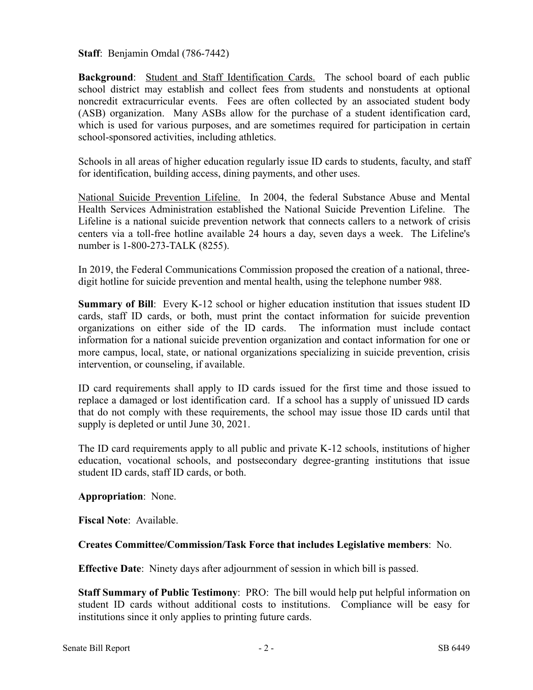**Staff**: Benjamin Omdal (786-7442)

**Background**: Student and Staff Identification Cards. The school board of each public school district may establish and collect fees from students and nonstudents at optional noncredit extracurricular events. Fees are often collected by an associated student body (ASB) organization. Many ASBs allow for the purchase of a student identification card, which is used for various purposes, and are sometimes required for participation in certain school-sponsored activities, including athletics.

Schools in all areas of higher education regularly issue ID cards to students, faculty, and staff for identification, building access, dining payments, and other uses.

National Suicide Prevention Lifeline. In 2004, the federal Substance Abuse and Mental Health Services Administration established the National Suicide Prevention Lifeline. The Lifeline is a national suicide prevention network that connects callers to a network of crisis centers via a toll-free hotline available 24 hours a day, seven days a week. The Lifeline's number is 1-800-273-TALK (8255).

In 2019, the Federal Communications Commission proposed the creation of a national, threedigit hotline for suicide prevention and mental health, using the telephone number 988.

**Summary of Bill:** Every K-12 school or higher education institution that issues student ID cards, staff ID cards, or both, must print the contact information for suicide prevention organizations on either side of the ID cards. The information must include contact information for a national suicide prevention organization and contact information for one or more campus, local, state, or national organizations specializing in suicide prevention, crisis intervention, or counseling, if available.

ID card requirements shall apply to ID cards issued for the first time and those issued to replace a damaged or lost identification card. If a school has a supply of unissued ID cards that do not comply with these requirements, the school may issue those ID cards until that supply is depleted or until June 30, 2021.

The ID card requirements apply to all public and private K-12 schools, institutions of higher education, vocational schools, and postsecondary degree-granting institutions that issue student ID cards, staff ID cards, or both.

# **Appropriation**: None.

**Fiscal Note**: Available.

# **Creates Committee/Commission/Task Force that includes Legislative members**: No.

**Effective Date**: Ninety days after adjournment of session in which bill is passed.

**Staff Summary of Public Testimony**: PRO: The bill would help put helpful information on student ID cards without additional costs to institutions. Compliance will be easy for institutions since it only applies to printing future cards.